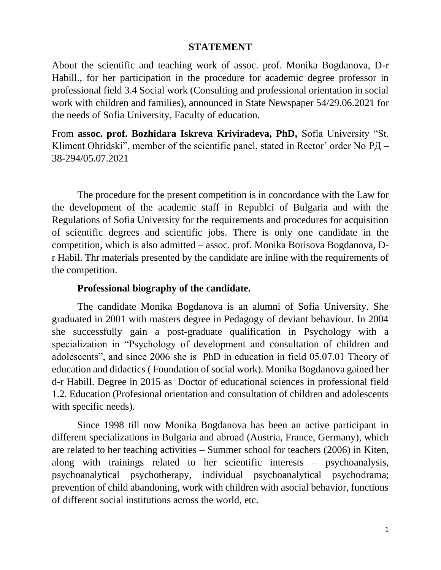## **STATEMENT**

About the scientific and teaching work of assoc. prof. Monika Bogdanova, D-r Habill., for her participation in the procedure for academic degree professor in professional field 3.4 Social work (Consulting and professional orientation in social work with children and families), announced in State Newspaper 54/29.06.2021 for the needs of Sofia University, Faculty of education.

From **assoc. prof. Bozhidara Iskreva Kriviradeva, PhD,** Sofia University "St. Kliment Ohridski", member of the scientific panel, stated in Rector' order No РД – 38-294/05.07.2021

The procedure for the present competition is in concordance with the Law for the development of the academic staff in Republci of Bulgaria and with the Regulations of Sofia University for the requirements and procedures for acquisition of scientific degrees and scientific jobs. There is only one candidate in the competition, which is also admitted – assoc. prof. Monika Borisova Bogdanova, Dr Habil. Thr materials presented by the candidate are inline with the requirements of the competition.

## **Professional biography of the candidate.**

The candidate Monika Bogdanova is an alumni of Sofia University. She graduated in 2001 with masters degree in Pedagogy of deviant behaviour. In 2004 she successfully gain a post-graduate qualification in Psychology with a specialization in "Psychology of development and consultation of children and adolescents", and since 2006 she is PhD in education in field 05.07.01 Theory of education and didactics ( Foundation of social work). Monika Bogdanova gained her d-r Habill. Degree in 2015 as Doctor of educational sciences in professional field 1.2. Education (Profesional orientation and consultation of children and adolescents with specific needs).

Since 1998 till now Monika Bogdanova has been an active participant in different specializations in Bulgaria and abroad (Austria, France, Germany), which are related to her teaching activities – Summer school for teachers (2006) in Kiten, along with trainings related to her scientific interests – psychoanalysis, psychoanalytical psychotherapy, individual psychoanalytical psychodrama; prevention of child abandoning, work with children with asocial behavior, functions of different social institutions across the world, etc.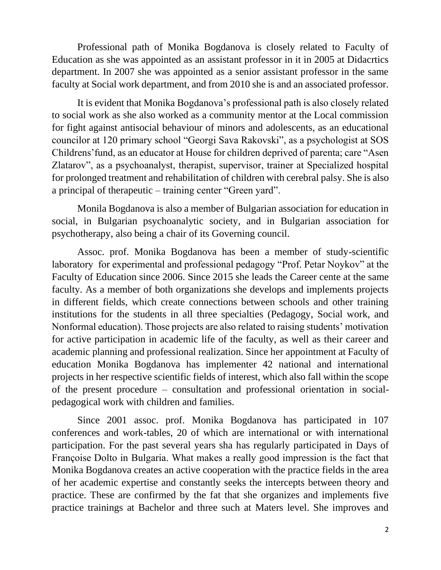Professional path of Monika Bogdanova is closely related to Faculty of Education as she was appointed as an assistant professor in it in 2005 at Didacrtics department. In 2007 she was appointed as a senior assistant professor in the same faculty at Social work department, and from 2010 she is and an associated professor.

It is evident that Monika Bogdanova's professional path is also closely related to social work as she also worked as a community mentor at the Local commission for fight against antisocial behaviour of minors and adolescents, as an educational councilor at 120 primary school "Georgi Sava Rakovski", as a psychologist at SOS Childrens'fund, as an educator at House for children deprived of parenta; care "Asen Zlatarov", as a psychoanalyst, therapist, supervisor, trainer at Specialized hospital for prolonged treatment and rehabilitation of children with cerebral palsy. She is also a principal of therapeutic – training center "Green yard".

Monila Bogdanova is also a member of Bulgarian association for education in social, in Bulgarian psychoanalytic society, and in Bulgarian association for psychotherapy, also being a chair of its Governing council.

Assoc. prof. Monika Bogdanova has been a member of study-scientific laboratory for experimental and professional pedagogy "Prof. Petar Noykov" at the Faculty of Education since 2006. Since 2015 she leads the Career cente at the same faculty. As a member of both organizations she develops and implements projects in different fields, which create connections between schools and other training institutions for the students in all three specialties (Pedagogy, Social work, and Nonformal education). Those projects are also related to raising students' motivation for active participation in academic life of the faculty, as well as their career and academic planning and professional realization. Since her appointment at Faculty of education Monika Bogdanova has implementer 42 national and international projects in her respective scientific fields of interest, which also fall within the scope of the present procedure – consultation and professional orientation in socialpedagogical work with children and families.

Since 2001 assoc. prof. Monika Bogdanova has participated in 107 conferences and work-tables, 20 of which are international or with international participation. For the past several years sha has regularly participated in Days of Françoise Dolto in Bulgaria. What makes a really good impression is the fact that Monika Bogdanova creates an active cooperation with the practice fields in the area of her academic expertise and constantly seeks the intercepts between theory and practice. These are confirmed by the fat that she organizes and implements five practice trainings at Bachelor and three such at Maters level. She improves and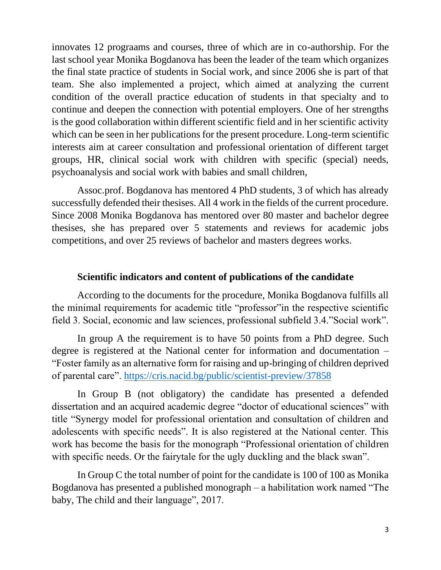innovates 12 prograams and courses, three of which are in co-authorship. For the last school year Monika Bogdanova has been the leader of the team which organizes the final state practice of students in Social work, and since 2006 she is part of that team. She also implemented a project, which aimed at analyzing the current condition of the overall practice education of students in that specialty and to continue and deepen the connection with potential employers. One of her strengths is the good collaboration within different scientific field and in her scientific activity which can be seen in her publications for the present procedure. Long-term scientific interests aim at career consultation and professional orientation of different target groups, HR, clinical social work with children with specific (special) needs, psychoanalysis and social work with babies and small children,

Assoc.prof. Bogdanova has mentored 4 PhD students, 3 of which has already successfully defended their thesises. All 4 work in the fields of the current procedure. Since 2008 Monika Bogdanova has mentored over 80 master and bachelor degree thesises, she has prepared over 5 statements and reviews for academic jobs competitions, and over 25 reviews of bachelor and masters degrees works.

#### **Scientific indicators and content of publications of the candidate**

According to the documents for the procedure, Monika Bogdanova fulfills all the minimal requirements for academic title "professor"in the respective scientific field 3. Social, economic and law sciences, professional subfield 3.4."Social work".

In group A the requirement is to have 50 points from a PhD degree. Such degree is registered at the National center for information and documentation – "Foster family as an alternative form for raising and up-bringing of children deprived of parental care".<https://cris.nacid.bg/public/scientist-preview/37858>

In Group B (not obligatory) the candidate has presented a defended dissertation and an acquired academic degree "doctor of educational sciences" with title "Synergy model for professional orientation and consultation of children and adolescents with specific needs". It is also registered at the National center. This work has become the basis for the monograph "Professional orientation of children with specific needs. Or the fairytale for the ugly duckling and the black swan".

In Group C the total number of point for the candidate is 100 of 100 as Monika Bogdanova has presented a published monograph – a habilitation work named "The baby, The child and their language", 2017.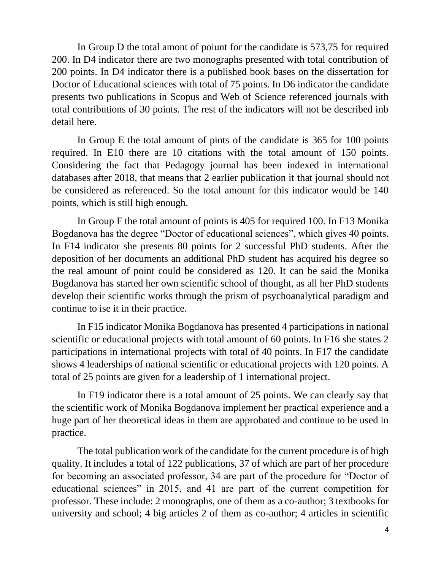In Group D the total amont of poiunt for the candidate is 573,75 for required 200. In D4 indicator there are two monographs presented with total contribution of 200 points. In D4 indicator there is a published book bases on the dissertation for Doctor of Educational sciences with total of 75 points. In D6 indicator the candidate presents two publications in Scopus and Web of Science referenced journals with total contributions of 30 points. The rest of the indicators will not be described inb detail here.

In Group E the total amount of pints of the candidate is 365 for 100 points required. In E10 there are 10 citations with the total amount of 150 points. Considering the fact that Pedagogy journal has been indexed in international databases after 2018, that means that 2 earlier publication it that journal should not be considered as referenced. So the total amount for this indicator would be 140 points, which is still high enough.

In Group F the total amount of points is 405 for required 100. In F13 Monika Bogdanova has the degree "Doctor of educational sciences", which gives 40 points. In F14 indicator she presents 80 points for 2 successful PhD students. After the deposition of her documents an additional PhD student has acquired his degree so the real amount of point could be considered as 120. It can be said the Monika Bogdanova has started her own scientific school of thought, as all her PhD students develop their scientific works through the prism of psychoanalytical paradigm and continue to ise it in their practice.

In F15 indicator Monika Bogdanova has presented 4 participations in national scientific or educational projects with total amount of 60 points. In F16 she states 2 participations in international projects with total of 40 points. In F17 the candidate shows 4 leaderships of national scientific or educational projects with 120 points. A total of 25 points are given for a leadership of 1 international project.

In F19 indicator there is a total amount of 25 points. We can clearly say that the scientific work of Monika Bogdanova implement her practical experience and a huge part of her theoretical ideas in them are approbated and continue to be used in practice.

The total publication work of the candidate for the current procedure is of high quality. It includes a total of 122 publications, 37 of which are part of her procedure for becoming an associated professor, 34 are part of the procedure for "Doctor of educational sciences" in 2015, and 41 are part of the current competition for professor. These include: 2 monographs, one of them as a co-author; 3 textbooks for university and school; 4 big articles 2 of them as co-author; 4 articles in scientific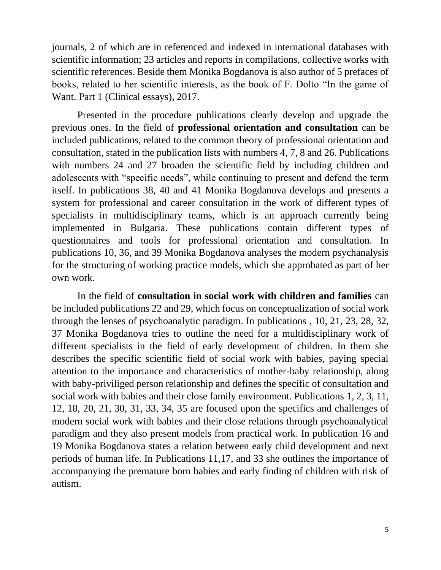journals, 2 of which are in referenced and indexed in international databases with scientific information; 23 articles and reports in compilations, collective works with scientific references. Beside them Monika Bogdanova is also author of 5 prefaces of books, related to her scientific interests, as the book of F. Dolto "In the game of Want. Part 1 (Clinical essays), 2017.

Presented in the procedure publications clearly develop and upgrade the previous ones. In the field of **professional orientation and consultation** can be included publications, related to the common theory of professional orientation and consultation, stated in the publication lists with numbers 4, 7, 8 and 26. Publications with numbers 24 and 27 broaden the scientific field by including children and adolescents with "specific needs", while continuing to present and defend the term itself. In publications 38, 40 and 41 Monika Bogdanova develops and presents a system for professional and career consultation in the work of different types of specialists in multidisciplinary teams, which is an approach currently being implemented in Bulgaria. These publications contain different types of questionnaires and tools for professional orientation and consultation. In publications 10, 36, and 39 Monika Bogdanova analyses the modern psychanalysis for the structuring of working practice models, which she approbated as part of her own work.

In the field of **consultation in social work with children and families** can be included publications 22 and 29, which focus on conceptualization of social work through the lenses of psychoanalytic paradigm. In publications , 10, 21, 23, 28, 32, 37 Monika Bogdanova tries to outline the need for a multidisciplinary work of different specialists in the field of early development of children. In them she describes the specific scientific field of social work with babies, paying special attention to the importance and characteristics of mother-baby relationship, along with baby-priviliged person relationship and defines the specific of consultation and social work with babies and their close family environment. Publications 1, 2, 3, 11, 12, 18, 20, 21, 30, 31, 33, 34, 35 are focused upon the specifics and challenges of modern social work with babies and their close relations through psychoanalytical paradigm and they also present models from practical work. In publication 16 and 19 Monika Bogdanova states a relation between early child development and next periods of human life. In Publications 11,17, and 33 she outlines the importance of accompanying the premature born babies and early finding of children with risk of autism.